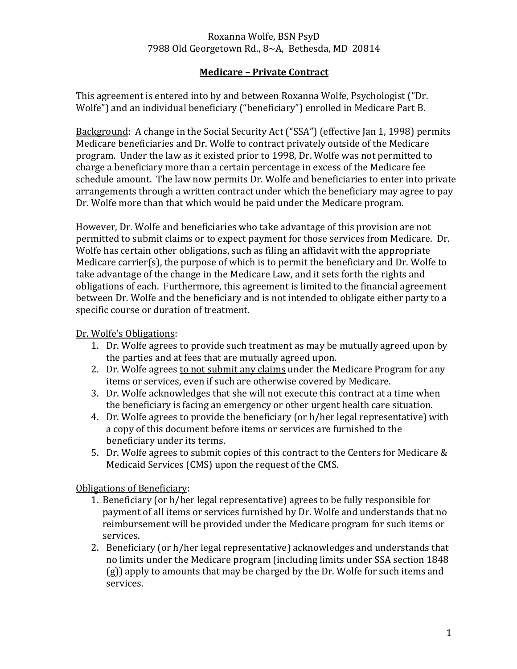#### Roxanna Wolfe, BSN PsyD 7988 Old Georgetown Rd., 8~A, Bethesda, MD 20814

## **Medicare – Private Contract**

This agreement is entered into by and between Roxanna Wolfe, Psychologist ("Dr. Wolfe") and an individual beneficiary ("beneficiary") enrolled in Medicare Part B.

Background: A change in the Social Security Act ("SSA") (effective Jan 1, 1998) permits Medicare beneficiaries and Dr. Wolfe to contract privately outside of the Medicare program. Under the law as it existed prior to 1998, Dr. Wolfe was not permitted to charge a beneficiary more than a certain percentage in excess of the Medicare fee schedule amount. The law now permits Dr. Wolfe and beneficiaries to enter into private arrangements through a written contract under which the beneficiary may agree to pay Dr. Wolfe more than that which would be paid under the Medicare program.

However, Dr. Wolfe and beneficiaries who take advantage of this provision are not permitted to submit claims or to expect payment for those services from Medicare. Dr. Wolfe has certain other obligations, such as filing an affidavit with the appropriate Medicare carrier(s), the purpose of which is to permit the beneficiary and Dr. Wolfe to take advantage of the change in the Medicare Law, and it sets forth the rights and obligations of each. Furthermore, this agreement is limited to the financial agreement between Dr. Wolfe and the beneficiary and is not intended to obligate either party to a specific course or duration of treatment.

#### Dr. Wolfe's Obligations:

- 1. Dr. Wolfe agrees to provide such treatment as may be mutually agreed upon by the parties and at fees that are mutually agreed upon.
- 2. Dr. Wolfe agrees to not submit any claims under the Medicare Program for any items or services, even if such are otherwise covered by Medicare.
- 3. Dr. Wolfe acknowledges that she will not execute this contract at a time when the beneficiary is facing an emergency or other urgent health care situation.
- 4. Dr. Wolfe agrees to provide the beneficiary (or h/her legal representative) with a copy of this document before items or services are furnished to the beneficiary under its terms.
- 5. Dr. Wolfe agrees to submit copies of this contract to the Centers for Medicare & Medicaid Services (CMS) upon the request of the CMS.

Obligations of Beneficiary:

- 1. Beneficiary (or h/her legal representative) agrees to be fully responsible for payment of all items or services furnished by Dr. Wolfe and understands that no reimbursement will be provided under the Medicare program for such items or services.
- 2. Beneficiary (or h/her legal representative) acknowledges and understands that no limits under the Medicare program (including limits under SSA section 1848 (g)) apply to amounts that may be charged by the Dr. Wolfe for such items and services.